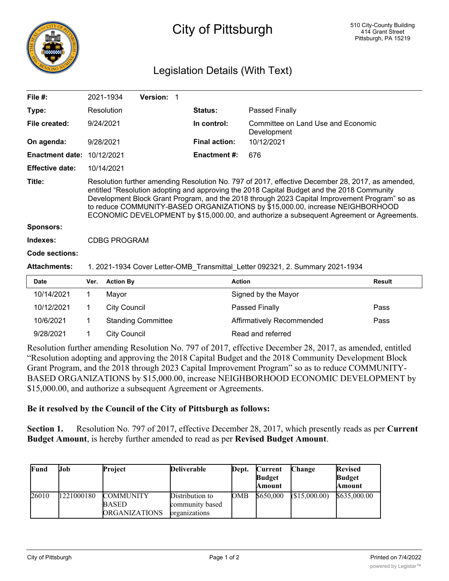

## City of Pittsburgh

## Legislation Details (With Text)

| File $#$ :             |                                                                                                                                                                                                                                                                                                                                                                                                                                                                              | 2021-1934           | Version: 1          |                      |                                                   |               |  |
|------------------------|------------------------------------------------------------------------------------------------------------------------------------------------------------------------------------------------------------------------------------------------------------------------------------------------------------------------------------------------------------------------------------------------------------------------------------------------------------------------------|---------------------|---------------------|----------------------|---------------------------------------------------|---------------|--|
| Type:                  |                                                                                                                                                                                                                                                                                                                                                                                                                                                                              | Resolution          |                     | <b>Status:</b>       | Passed Finally                                    |               |  |
| File created:          |                                                                                                                                                                                                                                                                                                                                                                                                                                                                              | 9/24/2021           |                     | In control:          | Committee on Land Use and Economic<br>Development |               |  |
| On agenda:             |                                                                                                                                                                                                                                                                                                                                                                                                                                                                              | 9/28/2021           |                     | <b>Final action:</b> | 10/12/2021                                        |               |  |
| <b>Enactment date:</b> | 10/12/2021                                                                                                                                                                                                                                                                                                                                                                                                                                                                   |                     | <b>Enactment #:</b> | 676                  |                                                   |               |  |
| <b>Effective date:</b> |                                                                                                                                                                                                                                                                                                                                                                                                                                                                              | 10/14/2021          |                     |                      |                                                   |               |  |
| Title:                 | Resolution further amending Resolution No. 797 of 2017, effective December 28, 2017, as amended,<br>entitled "Resolution adopting and approving the 2018 Capital Budget and the 2018 Community<br>Development Block Grant Program, and the 2018 through 2023 Capital Improvement Program" so as<br>to reduce COMMUNITY-BASED ORGANIZATIONS by \$15,000.00, increase NEIGHBORHOOD<br>ECONOMIC DEVELOPMENT by \$15,000.00, and authorize a subsequent Agreement or Agreements. |                     |                     |                      |                                                   |               |  |
| <b>Sponsors:</b>       |                                                                                                                                                                                                                                                                                                                                                                                                                                                                              |                     |                     |                      |                                                   |               |  |
| Indexes:               |                                                                                                                                                                                                                                                                                                                                                                                                                                                                              | <b>CDBG PROGRAM</b> |                     |                      |                                                   |               |  |
| Code sections:         |                                                                                                                                                                                                                                                                                                                                                                                                                                                                              |                     |                     |                      |                                                   |               |  |
| <b>Attachments:</b>    | 1. 2021-1934 Cover Letter-OMB Transmittal Letter 092321, 2. Summary 2021-1934                                                                                                                                                                                                                                                                                                                                                                                                |                     |                     |                      |                                                   |               |  |
| <b>Date</b>            | Ver.                                                                                                                                                                                                                                                                                                                                                                                                                                                                         | <b>Action By</b>    |                     |                      | <b>Action</b>                                     | <b>Result</b> |  |
| 10/14/2021             |                                                                                                                                                                                                                                                                                                                                                                                                                                                                              | Mayor               |                     |                      | Signed by the Mayor                               |               |  |

| 10/14/2021 | Mavor                     | Signed by the Mayor       |      |
|------------|---------------------------|---------------------------|------|
| 10/12/2021 | City Council              | Passed Finally            | Pass |
| 10/6/2021  | <b>Standing Committee</b> | Affirmatively Recommended | Pass |
| 9/28/2021  | City Council              | Read and referred         |      |
|            |                           |                           |      |

Resolution further amending Resolution No. 797 of 2017, effective December 28, 2017, as amended, entitled "Resolution adopting and approving the 2018 Capital Budget and the 2018 Community Development Block Grant Program, and the 2018 through 2023 Capital Improvement Program" so as to reduce COMMUNITY-BASED ORGANIZATIONS by \$15,000.00, increase NEIGHBORHOOD ECONOMIC DEVELOPMENT by \$15,000.00, and authorize a subsequent Agreement or Agreements.

## **Be it resolved by the Council of the City of Pittsburgh as follows:**

**Section 1.** Resolution No. 797 of 2017, effective December 28, 2017, which presently reads as per **Current Budget Amount**, is hereby further amended to read as per **Revised Budget Amount**.

| Fund  | IJob       | <b>Project</b>                                    | <b>Deliverable</b>                                  | Dept. | Current<br><b>Budget</b><br><b>Amount</b> | Change       | <b>Revised</b><br><b>Budget</b><br><b>Amount</b> |
|-------|------------|---------------------------------------------------|-----------------------------------------------------|-------|-------------------------------------------|--------------|--------------------------------------------------|
| 26010 | 1221000180 | <b>COMMUNITY</b><br><b>BASED</b><br>ORGANIZATIONS | Distribution to<br>community based<br>organizations | OMB   | \$650,000                                 | (S15,000.00) | \$635,000.00                                     |

DEVELOPMENT